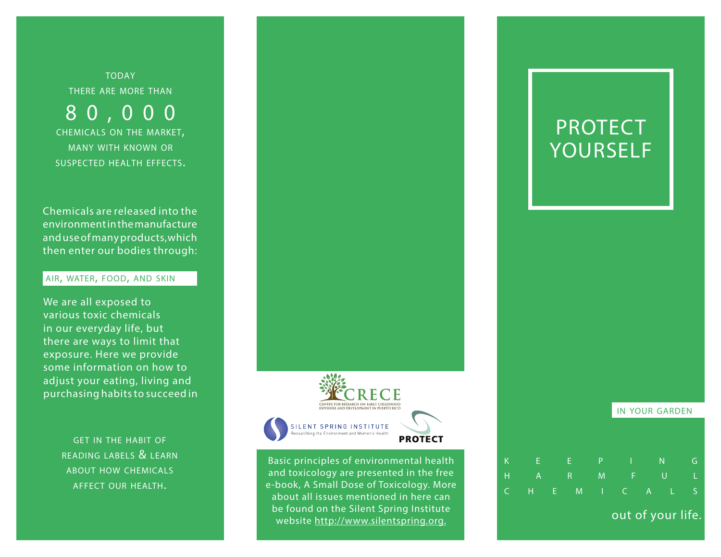**TODAY** there are more than

8 0 , 0 0 0 chemicals on the market, many with known or suspected health effects.

Chemicals are released into the environment in the manufacture and use of many products,which then enter our bodies through:

# air, water, food, and skin

We are all exposed to various toxic chemicals in our everyday life, but there are ways to limit that exposure. Here we provide some information on how to adjust your eating, living and purchasing habits to succeed in

> get in the habit of reading labels & learn about how chemicals affect our health.



Basic principles of environmental health and toxicology are presented in the free e-book, A Small Dose of Toxicology. More about all issues mentioned in here can be found on the Silent Spring Institute website http://www.silentspring.org.

# PROTECT YOURSELF

in your garden out of your life. k e e p i n g h a r m f u l c h e m i c a l s